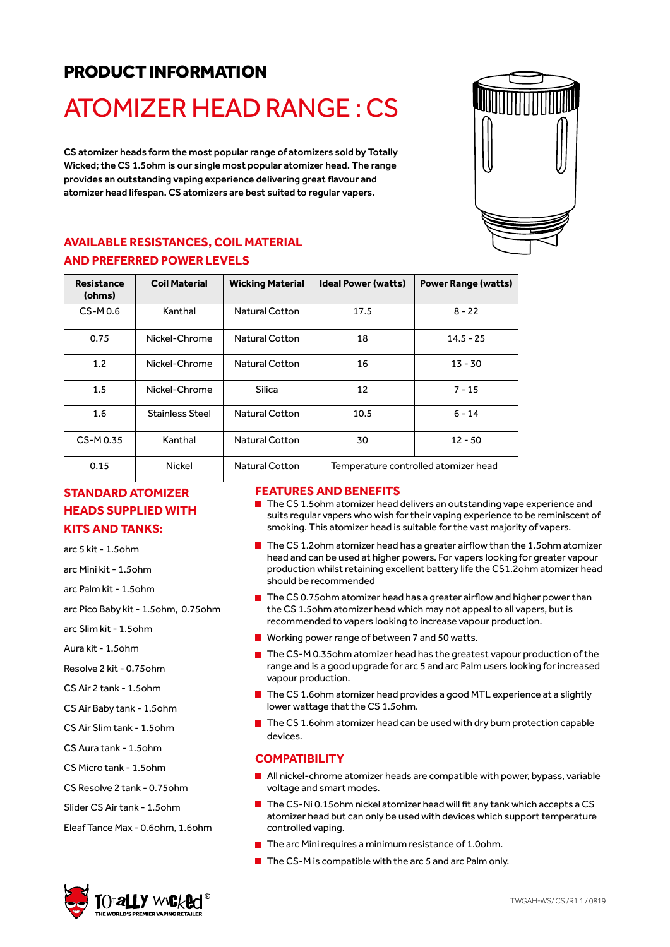# PRODUCT INFORMATION

# ATOMIZER HEAD RANGE : CS

CS atomizer heads form the most popular range of atomizers sold by Totally Wicked; the CS 1.5ohm is our single most popular atomizer head. The range provides an outstanding vaping experience delivering great flavour and atomizer head lifespan. CS atomizers are best suited to regular vapers.

### **AVAILABLE RESISTANCES, COIL MATERIAL AND PREFERRED POWER LEVELS**

| <b>Resistance</b><br>(ohms) | <b>Coil Material</b>   | <b>Wicking Material</b> | <b>Ideal Power (watts)</b>           | <b>Power Range (watts)</b> |
|-----------------------------|------------------------|-------------------------|--------------------------------------|----------------------------|
| $CS-M0.6$                   | Kanthal                | <b>Natural Cotton</b>   | 17.5                                 | $8 - 22$                   |
| 0.75                        | Nickel-Chrome          | <b>Natural Cotton</b>   | 18                                   | $14.5 - 25$                |
| 1.2                         | Nickel-Chrome          | <b>Natural Cotton</b>   | 16                                   | 13 - 30                    |
| $1.5\,$                     | Nickel-Chrome          | Silica                  | 12                                   | $7 - 15$                   |
| 1.6                         | <b>Stainless Steel</b> | <b>Natural Cotton</b>   | 10.5                                 | $6 - 14$                   |
| CS-M0.35                    | Kanthal                | <b>Natural Cotton</b>   | 30                                   | $12 - 50$                  |
| 0.15                        | Nickel                 | <b>Natural Cotton</b>   | Temperature controlled atomizer head |                            |

## **STANDARD ATOMIZER HEADS SUPPLIED WITH KITS AND TANKS:**

arc 5 kit - 1.5ohm

arc Mini kit - 1.5ohm

arc Palm kit - 1.5ohm

arc Pico Baby kit - 1.5ohm, 0.75ohm

arc Slim kit - 1.5ohm

Aura kit - 1.5ohm

Resolve 2 kit - 0.75ohm

CS Air 2 tank - 1.5ohm

CS Air Baby tank - 1.5ohm

CS Air Slim tank - 1.5ohm

CS Aura tank - 1.5ohm

CS Micro tank - 1.5ohm

- CS Resolve 2 tank 0.75ohm
- Slider CS Air tank 1.5ohm

Eleaf Tance Max - 0.6ohm, 1.6ohm

#### **FEATURES AND BENEFITS**

- The CS 1.5ohm atomizer head delivers an outstanding vape experience and suits regular vapers who wish for their vaping experience to be reminiscent of smoking. This atomizer head is suitable for the vast majority of vapers.
- $\blacksquare$  The CS 1.2ohm atomizer head has a greater airflow than the 1.5ohm atomizer head and can be used at higher powers. For vapers looking for greater vapour production whilst retaining excellent battery life the CS1.2ohm atomizer head should be recommended
- The CS 0.75ohm atomizer head has a greater airflow and higher power than the CS 1.5ohm atomizer head which may not appeal to all vapers, but is recommended to vapers looking to increase vapour production.
- **Working power range of between 7 and 50 watts.**
- $\blacksquare$  The CS-M 0.35ohm atomizer head has the greatest vapour production of the range and is a good upgrade for arc 5 and arc Palm users looking for increased vapour production.
- The CS 1.6ohm atomizer head provides a good MTL experience at a slightly lower wattage that the CS 1.5ohm.
- $\blacksquare$  The CS 1.6ohm atomizer head can be used with dry burn protection capable devices.

#### **COMPATIBILITY**

- All nickel-chrome atomizer heads are compatible with power, bypass, variable voltage and smart modes.
- $\blacksquare$  The CS-Ni 0.15ohm nickel atomizer head will fit any tank which accepts a CS atomizer head but can only be used with devices which support temperature controlled vaping.
- $\blacksquare$  The arc Mini requires a minimum resistance of 1.0ohm.
- $\blacksquare$  The CS-M is compatible with the arc 5 and arc Palm only.